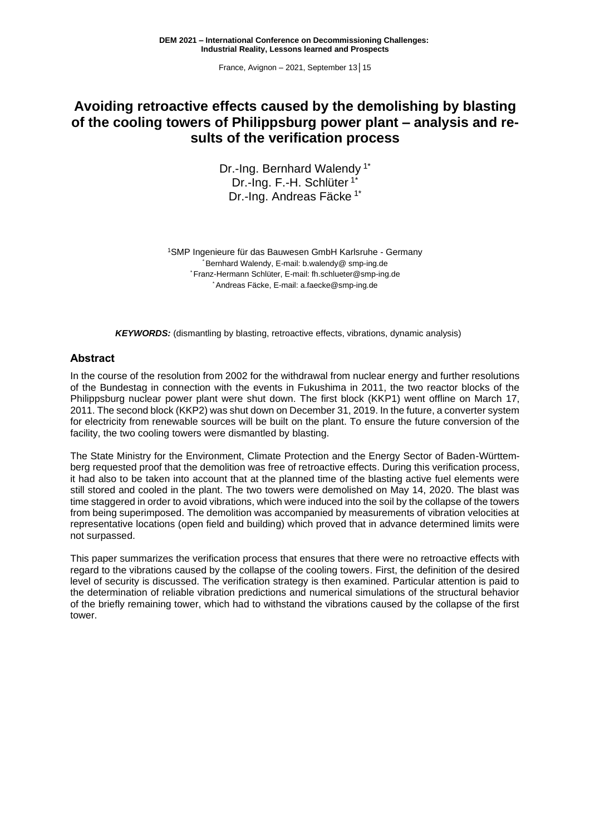# **Avoiding retroactive effects caused by the demolishing by blasting of the cooling towers of Philippsburg power plant – analysis and results of the verification process**

Dr.-Ing. Bernhard Walendy<sup>1\*</sup> Dr.-Ing. F.-H. Schlüter 1\* Dr.-Ing. Andreas Fäcke 1\*

<sup>1</sup>SMP Ingenieure für das Bauwesen GmbH Karlsruhe - Germany *\** Bernhard Walendy, E-mail: [b.walendy@](mailto:b.walendy@hotmail.com) smp-ing.de *\** Franz-Hermann Schlüter, E-mail: [fh.schlueter@smp-ing.de](mailto:fh.schlueter@smp-ing.de) *\** Andreas Fäcke, E-mail: a.faecke@smp-ing.de

*KEYWORDS:* (dismantling by blasting, retroactive effects, vibrations, dynamic analysis)

### **Abstract**

In the course of the resolution from 2002 for the withdrawal from nuclear energy and further resolutions of the Bundestag in connection with the events in Fukushima in 2011, the two reactor blocks of the Philippsburg nuclear power plant were shut down. The first block (KKP1) went offline on March 17, 2011. The second block (KKP2) was shut down on December 31, 2019. In the future, a converter system for electricity from renewable sources will be built on the plant. To ensure the future conversion of the facility, the two cooling towers were dismantled by blasting.

The State Ministry for the Environment, Climate Protection and the Energy Sector of Baden-Württemberg requested proof that the demolition was free of retroactive effects. During this verification process, it had also to be taken into account that at the planned time of the blasting active fuel elements were still stored and cooled in the plant. The two towers were demolished on May 14, 2020. The blast was time staggered in order to avoid vibrations, which were induced into the soil by the collapse of the towers from being superimposed. The demolition was accompanied by measurements of vibration velocities at representative locations (open field and building) which proved that in advance determined limits were not surpassed.

This paper summarizes the verification process that ensures that there were no retroactive effects with regard to the vibrations caused by the collapse of the cooling towers. First, the definition of the desired level of security is discussed. The verification strategy is then examined. Particular attention is paid to the determination of reliable vibration predictions and numerical simulations of the structural behavior of the briefly remaining tower, which had to withstand the vibrations caused by the collapse of the first tower.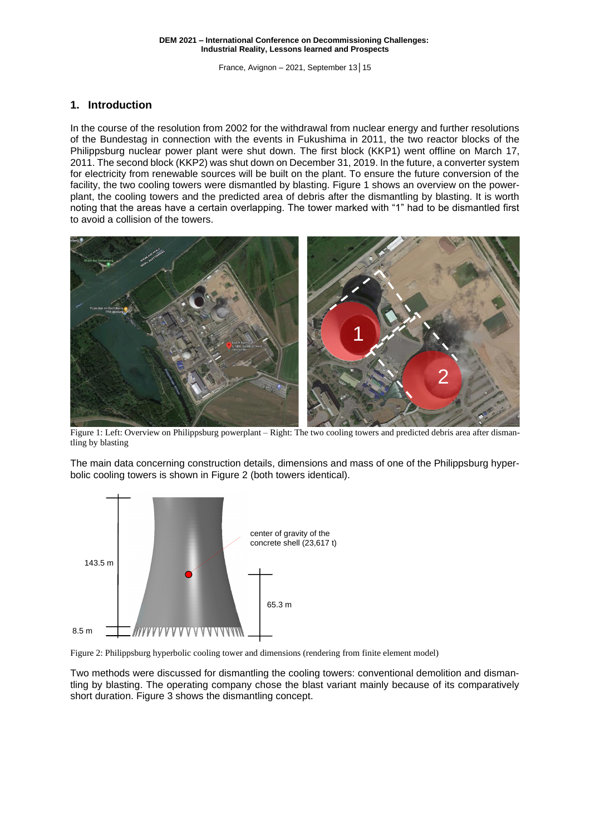## **1. Introduction**

In the course of the resolution from 2002 for the withdrawal from nuclear energy and further resolutions of the Bundestag in connection with the events in Fukushima in 2011, the two reactor blocks of the Philippsburg nuclear power plant were shut down. The first block (KKP1) went offline on March 17, 2011. The second block (KKP2) was shut down on December 31, 2019. In the future, a converter system for electricity from renewable sources will be built on the plant. To ensure the future conversion of the facility, the two cooling towers were dismantled by blasting. [Figure 1](#page-1-0) shows an overview on the powerplant, the cooling towers and the predicted area of debris after the dismantling by blasting. It is worth noting that the areas have a certain overlapping. The tower marked with "1" had to be dismantled first to avoid a collision of the towers.



<span id="page-1-0"></span>Figure 1: Left: Overview on Philippsburg powerplant – Right: The two cooling towers and predicted debris area after dismantling by blasting

The main data concerning construction details, dimensions and mass of one of the Philippsburg hyperbolic cooling towers is shown in [Figure 2](#page-1-1) (both towers identical).



<span id="page-1-1"></span>

Two methods were discussed for dismantling the cooling towers: conventional demolition and dismantling by blasting. The operating company chose the blast variant mainly because of its comparatively short duration. [Figure 3](#page-2-0) shows the dismantling concept.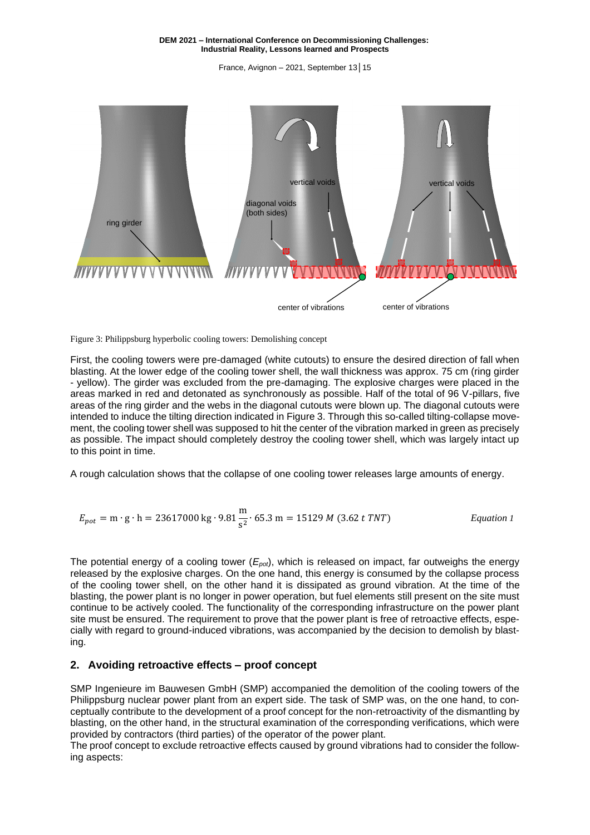France, Avignon – 2021, September 13│15



<span id="page-2-0"></span>

First, the cooling towers were pre-damaged (white cutouts) to ensure the desired direction of fall when blasting. At the lower edge of the cooling tower shell, the wall thickness was approx. 75 cm (ring girder - yellow). The girder was excluded from the pre-damaging. The explosive charges were placed in the areas marked in red and detonated as synchronously as possible. Half of the total of 96 V-pillars, five areas of the ring girder and the webs in the diagonal cutouts were blown up. The diagonal cutouts were intended to induce the tilting direction indicated in [Figure 3.](#page-2-0) Through this so-called tilting-collapse movement, the cooling tower shell was supposed to hit the center of the vibration marked in green as precisely as possible. The impact should completely destroy the cooling tower shell, which was largely intact up to this point in time.

A rough calculation shows that the collapse of one cooling tower releases large amounts of energy.

$$
E_{pot} = \text{m} \cdot \text{g} \cdot \text{h} = 23617000 \text{ kg} \cdot 9.81 \frac{\text{m}}{\text{s}^2} \cdot 65.3 \text{ m} = 15129 \text{ M} \ (3.62 \text{ t} \text{ TNT})
$$
 *Equation 1*

The potential energy of a cooling tower (*Epot*), which is released on impact, far outweighs the energy released by the explosive charges. On the one hand, this energy is consumed by the collapse process of the cooling tower shell, on the other hand it is dissipated as ground vibration. At the time of the blasting, the power plant is no longer in power operation, but fuel elements still present on the site must continue to be actively cooled. The functionality of the corresponding infrastructure on the power plant site must be ensured. The requirement to prove that the power plant is free of retroactive effects, especially with regard to ground-induced vibrations, was accompanied by the decision to demolish by blasting.

### **2. Avoiding retroactive effects – proof concept**

SMP Ingenieure im Bauwesen GmbH (SMP) accompanied the demolition of the cooling towers of the Philippsburg nuclear power plant from an expert side. The task of SMP was, on the one hand, to conceptually contribute to the development of a proof concept for the non-retroactivity of the dismantling by blasting, on the other hand, in the structural examination of the corresponding verifications, which were provided by contractors (third parties) of the operator of the power plant.

The proof concept to exclude retroactive effects caused by ground vibrations had to consider the following aspects: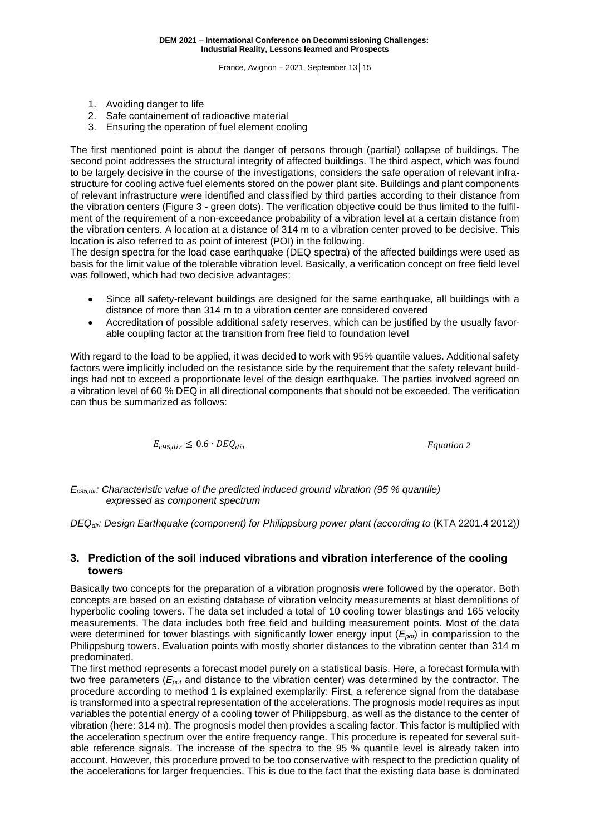- 1. Avoiding danger to life
- 2. Safe containement of radioactive material
- 3. Ensuring the operation of fuel element cooling

The first mentioned point is about the danger of persons through (partial) collapse of buildings. The second point addresses the structural integrity of affected buildings. The third aspect, which was found to be largely decisive in the course of the investigations, considers the safe operation of relevant infrastructure for cooling active fuel elements stored on the power plant site. Buildings and plant components of relevant infrastructure were identified and classified by third parties according to their distance from the vibration centers (Figure 3 - green dots). The verification objective could be thus limited to the fulfilment of the requirement of a non-exceedance probability of a vibration level at a certain distance from the vibration centers. A location at a distance of 314 m to a vibration center proved to be decisive. This location is also referred to as point of interest (POI) in the following.

The design spectra for the load case earthquake (DEQ spectra) of the affected buildings were used as basis for the limit value of the tolerable vibration level. Basically, a verification concept on free field level was followed, which had two decisive advantages:

- Since all safety-relevant buildings are designed for the same earthquake, all buildings with a distance of more than 314 m to a vibration center are considered covered
- Accreditation of possible additional safety reserves, which can be justified by the usually favorable coupling factor at the transition from free field to foundation level

With regard to the load to be applied, it was decided to work with 95% quantile values. Additional safety factors were implicitly included on the resistance side by the requirement that the safety relevant buildings had not to exceed a proportionate level of the design earthquake. The parties involved agreed on a vibration level of 60 % DEQ in all directional components that should not be exceeded. The verification can thus be summarized as follows:

$$
E_{c95,dir} \leq 0.6 \cdot DEQ_{dir}
$$

<span id="page-3-0"></span>95, ≤ 0.6 ∙ *Equation 2*

*Ec95,dir: Characteristic value of the predicted induced ground vibration (95 % quantile) expressed as component spectrum*

*DEQdir: Design Earthquake (component) for Philippsburg power plant (according to* (KTA 2201.4 2012)*)*

### <span id="page-3-1"></span>**3. Prediction of the soil induced vibrations and vibration interference of the cooling towers**

Basically two concepts for the preparation of a vibration prognosis were followed by the operator. Both concepts are based on an existing database of vibration velocity measurements at blast demolitions of hyperbolic cooling towers. The data set included a total of 10 cooling tower blastings and 165 velocity measurements. The data includes both free field and building measurement points. Most of the data were determined for tower blastings with significantly lower energy input (*Epot*) in comparission to the Philippsburg towers. Evaluation points with mostly shorter distances to the vibration center than 314 m predominated.

The first method represents a forecast model purely on a statistical basis. Here, a forecast formula with two free parameters (*Epot* and distance to the vibration center) was determined by the contractor. The procedure according to method 1 is explained exemplarily: First, a reference signal from the database is transformed into a spectral representation of the accelerations. The prognosis model requires as input variables the potential energy of a cooling tower of Philippsburg, as well as the distance to the center of vibration (here: 314 m). The prognosis model then provides a scaling factor. This factor is multiplied with the acceleration spectrum over the entire frequency range. This procedure is repeated for several suitable reference signals. The increase of the spectra to the 95 % quantile level is already taken into account. However, this procedure proved to be too conservative with respect to the prediction quality of the accelerations for larger frequencies. This is due to the fact that the existing data base is dominated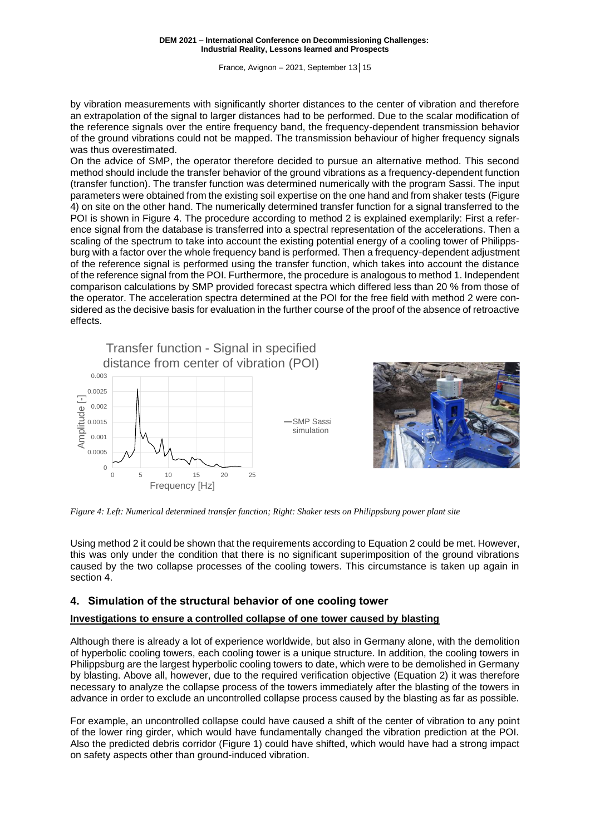France, Avignon – 2021, September 13│15

by vibration measurements with significantly shorter distances to the center of vibration and therefore an extrapolation of the signal to larger distances had to be performed. Due to the scalar modification of the reference signals over the entire frequency band, the frequency-dependent transmission behavior of the ground vibrations could not be mapped. The transmission behaviour of higher frequency signals was thus overestimated.

On the advice of SMP, the operator therefore decided to pursue an alternative method. This second method should include the transfer behavior of the ground vibrations as a frequency-dependent function (transfer function). The transfer function was determined numerically with the program Sassi. The input parameters were obtained from the existing soil expertise on the one hand and from shaker tests [\(Figure](#page-4-0)  [4\)](#page-4-0) on site on the other hand. The numerically determined transfer function for a signal transferred to the POI is shown in [Figure 4.](#page-4-0) The procedure according to method 2 is explained exemplarily: First a reference signal from the database is transferred into a spectral representation of the accelerations. Then a scaling of the spectrum to take into account the existing potential energy of a cooling tower of Philippsburg with a factor over the whole frequency band is performed. Then a frequency-dependent adjustment of the reference signal is performed using the transfer function, which takes into account the distance of the reference signal from the POI. Furthermore, the procedure is analogous to method 1. Independent comparison calculations by SMP provided forecast spectra which differed less than 20 % from those of the operator. The acceleration spectra determined at the POI for the free field with method 2 were considered as the decisive basis for evaluation in the further course of the proof of the absence of retroactive effects.

0.001 0.0015 0.002 0.0025 0.003  $\frac{1}{\frac{1}{2}}$  0.002<br>
0.0015<br>
0.0005<br>
0 5 10 15 20 25 Transfer function - Signal in specified distance from center of vibration (POI) SMP Sassi simulation

Frequency [Hz]

0 0.0005



*Figure 4: Left: Numerical determined transfer function; Right: Shaker tests on Philippsburg power plant site*

<span id="page-4-0"></span>Using method 2 it could be shown that the requirements according to [Equation](#page-3-0) 2 could be met. However, this was only under the condition that there is no significant superimposition of the ground vibrations caused by the two collapse processes of the cooling towers. This circumstance is taken up again in section [4.](#page-4-1)

### <span id="page-4-1"></span>**4. Simulation of the structural behavior of one cooling tower**

### <span id="page-4-2"></span>**Investigations to ensure a controlled collapse of one tower caused by blasting**

Although there is already a lot of experience worldwide, but also in Germany alone, with the demolition of hyperbolic cooling towers, each cooling tower is a unique structure. In addition, the cooling towers in Philippsburg are the largest hyperbolic cooling towers to date, which were to be demolished in Germany by blasting. Above all, however, due to the required verification objective [\(Equation](#page-3-0) 2) it was therefore necessary to analyze the collapse process of the towers immediately after the blasting of the towers in advance in order to exclude an uncontrolled collapse process caused by the blasting as far as possible.

For example, an uncontrolled collapse could have caused a shift of the center of vibration to any point of the lower ring girder, which would have fundamentally changed the vibration prediction at the POI. Also the predicted debris corridor [\(Figure 1\)](#page-1-0) could have shifted, which would have had a strong impact on safety aspects other than ground-induced vibration.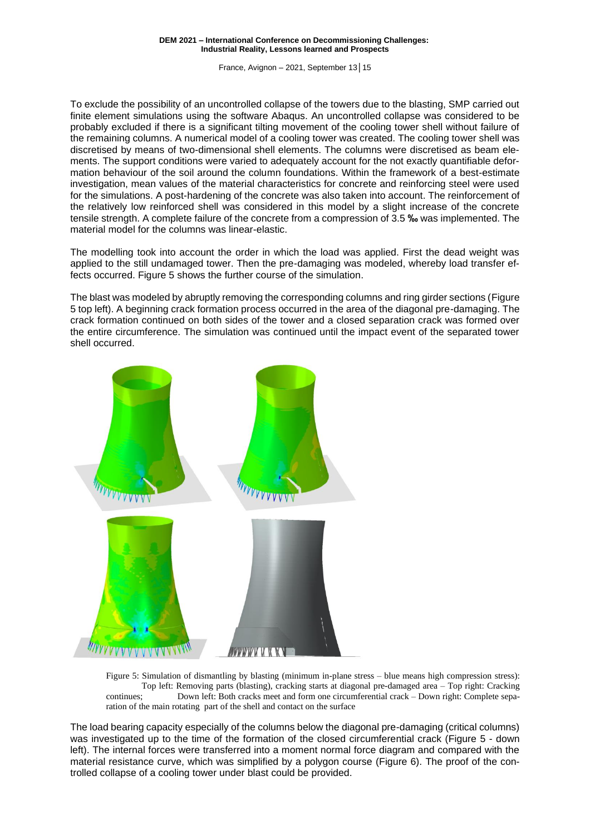France, Avignon – 2021, September 13│15

To exclude the possibility of an uncontrolled collapse of the towers due to the blasting, SMP carried out finite element simulations using the software Abaqus. An uncontrolled collapse was considered to be probably excluded if there is a significant tilting movement of the cooling tower shell without failure of the remaining columns. A numerical model of a cooling tower was created. The cooling tower shell was discretised by means of two-dimensional shell elements. The columns were discretised as beam elements. The support conditions were varied to adequately account for the not exactly quantifiable deformation behaviour of the soil around the column foundations. Within the framework of a best-estimate investigation, mean values of the material characteristics for concrete and reinforcing steel were used for the simulations. A post-hardening of the concrete was also taken into account. The reinforcement of the relatively low reinforced shell was considered in this model by a slight increase of the concrete tensile strength. A complete failure of the concrete from a compression of 3.5 **‰** was implemented. The material model for the columns was linear-elastic.

The modelling took into account the order in which the load was applied. First the dead weight was applied to the still undamaged tower. Then the pre-damaging was modeled, whereby load transfer effects occurred. [Figure 5](#page-5-0) shows the further course of the simulation.

The blast was modeled by abruptly removing the corresponding columns and ring girder sections [\(Figure](#page-5-0)  [5](#page-5-0) top left). A beginning crack formation process occurred in the area of the diagonal pre-damaging. The crack formation continued on both sides of the tower and a closed separation crack was formed over the entire circumference. The simulation was continued until the impact event of the separated tower shell occurred.



<span id="page-5-0"></span>Figure 5: Simulation of dismantling by blasting (minimum in-plane stress – blue means high compression stress): Top left: Removing parts (blasting), cracking starts at diagonal pre-damaged area – Top right: Cracking continues; Down left: Both cracks meet and form one circumferential crack – Down right: Complete separation of the main rotating part of the shell and contact on the surface

The load bearing capacity especially of the columns below the diagonal pre-damaging (critical columns) was investigated up to the time of the formation of the closed circumferential crack [\(Figure 5](#page-5-0) - down left). The internal forces were transferred into a moment normal force diagram and compared with the material resistance curve, which was simplified by a polygon course [\(Figure 6\)](#page-6-0). The proof of the controlled collapse of a cooling tower under blast could be provided.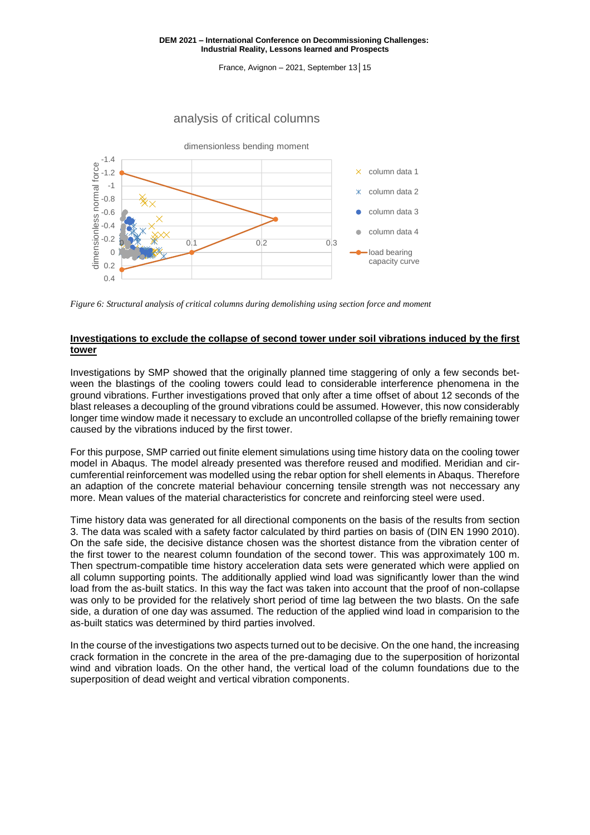France, Avignon – 2021, September 13│15

## analysis of critical columns



<span id="page-6-0"></span>*Figure 6: Structural analysis of critical columns during demolishing using section force and moment*

### **Investigations to exclude the collapse of second tower under soil vibrations induced by the first tower**

Investigations by SMP showed that the originally planned time staggering of only a few seconds between the blastings of the cooling towers could lead to considerable interference phenomena in the ground vibrations. Further investigations proved that only after a time offset of about 12 seconds of the blast releases a decoupling of the ground vibrations could be assumed. However, this now considerably longer time window made it necessary to exclude an uncontrolled collapse of the briefly remaining tower caused by the vibrations induced by the first tower.

For this purpose, SMP carried out finite element simulations using time history data on the cooling tower model in Abaqus. The model already presented was therefore reused and modified. Meridian and circumferential reinforcement was modelled using the rebar option for shell elements in Abaqus. Therefore an adaption of the concrete material behaviour concerning tensile strength was not neccessary any more. Mean values of the material characteristics for concrete and reinforcing steel were used.

Time history data was generated for all directional components on the basis of the results from section [3.](#page-3-1) The data was scaled with a safety factor calculated by third parties on basis of (DIN EN 1990 2010). On the safe side, the decisive distance chosen was the shortest distance from the vibration center of the first tower to the nearest column foundation of the second tower. This was approximately 100 m. Then spectrum-compatible time history acceleration data sets were generated which were applied on all column supporting points. The additionally applied wind load was significantly lower than the wind load from the as-built statics. In this way the fact was taken into account that the proof of non-collapse was only to be provided for the relatively short period of time lag between the two blasts. On the safe side, a duration of one day was assumed. The reduction of the applied wind load in comparision to the as-built statics was determined by third parties involved.

In the course of the investigations two aspects turned out to be decisive. On the one hand, the increasing crack formation in the concrete in the area of the pre-damaging due to the superposition of horizontal wind and vibration loads. On the other hand, the vertical load of the column foundations due to the superposition of dead weight and vertical vibration components.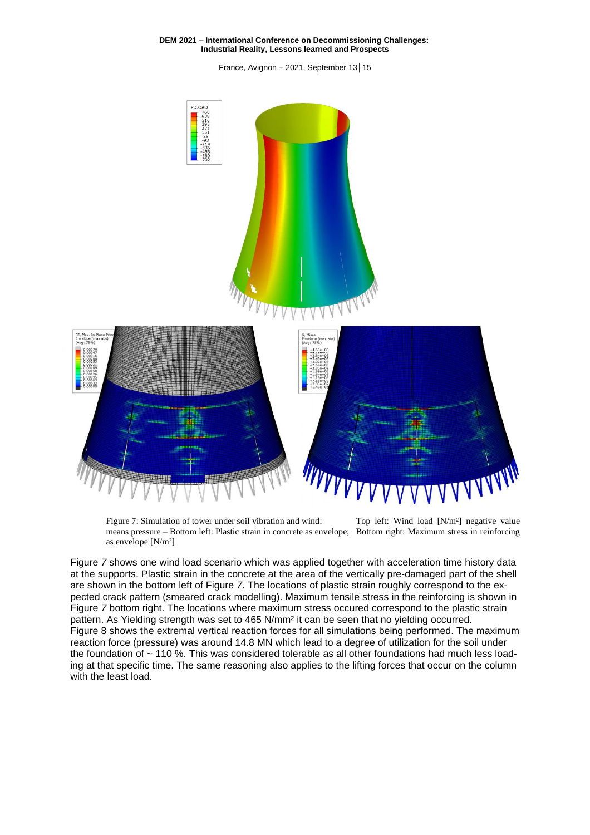France, Avignon – 2021, September 13│15



<span id="page-7-0"></span>Figure 7: Simulation of tower under soil vibration and wind: Top left: Wind load [N/m<sup>2</sup>] negative value means pressure – Bottom left: Plastic strain in concrete as envelope; Bottom right: Maximum stress in reinforcing as envelope [N/m²]

[Figure](#page-7-0) *7* shows one wind load scenario which was applied together with acceleration time history data at the supports. Plastic strain in the concrete at the area of the vertically pre-damaged part of the shell are shown in the bottom left of [Figure](#page-7-0) *7*. The locations of plastic strain roughly correspond to the expected crack pattern (smeared crack modelling). Maximum tensile stress in the reinforcing is shown in [Figure](#page-7-0) *7* bottom right. The locations where maximum stress occured correspond to the plastic strain pattern. As Yielding strength was set to 465 N/mm² it can be seen that no yielding occurred. [Figure](#page-8-0) 8 shows the extremal vertical reaction forces for all simulations being performed. The maximum reaction force (pressure) was around 14.8 MN which lead to a degree of utilization for the soil under the foundation of  $\sim$  110 %. This was considered tolerable as all other foundations had much less loading at that specific time. The same reasoning also applies to the lifting forces that occur on the column with the least load.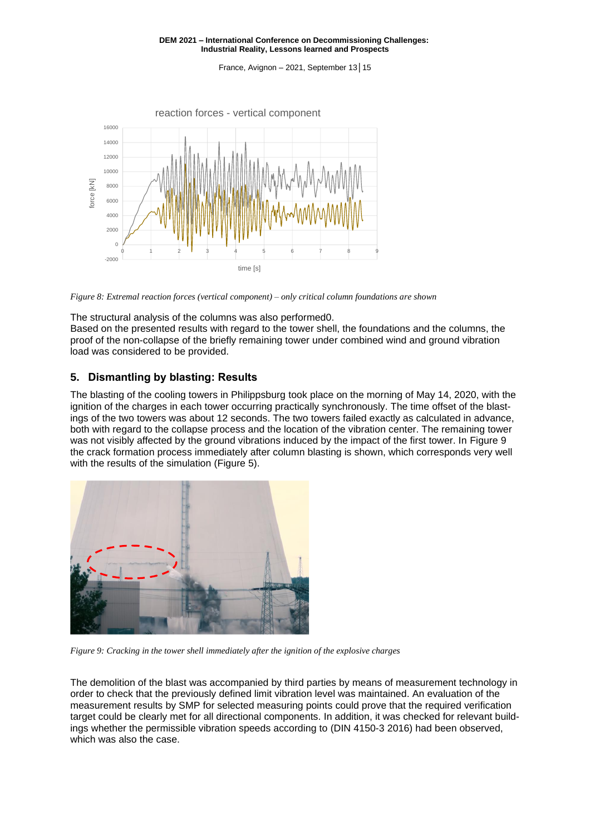France, Avignon – 2021, September 13│15



<span id="page-8-0"></span>*Figure 8: Extremal reaction forces (vertical component) – only critical column foundations are shown*

The structural analysis of the columns was also performe[d0.](#page-4-2)

Based on the presented results with regard to the tower shell, the foundations and the columns, the proof of the non-collapse of the briefly remaining tower under combined wind and ground vibration load was considered to be provided.

### **5. Dismantling by blasting: Results**

The blasting of the cooling towers in Philippsburg took place on the morning of May 14, 2020, with the ignition of the charges in each tower occurring practically synchronously. The time offset of the blastings of the two towers was about 12 seconds. The two towers failed exactly as calculated in advance, both with regard to the collapse process and the location of the vibration center. The remaining tower was not visibly affected by the ground vibrations induced by the impact of the first tower. In [Figure 9](#page-8-1) the crack formation process immediately after column blasting is shown, which corresponds very well with the results of the simulation [\(Figure 5\)](#page-5-0).



<span id="page-8-1"></span>*Figure 9: Cracking in the tower shell immediately after the ignition of the explosive charges*

The demolition of the blast was accompanied by third parties by means of measurement technology in order to check that the previously defined limit vibration level was maintained. An evaluation of the measurement results by SMP for selected measuring points could prove that the required verification target could be clearly met for all directional components. In addition, it was checked for relevant buildings whether the permissible vibration speeds according to (DIN 4150-3 2016) had been observed, which was also the case.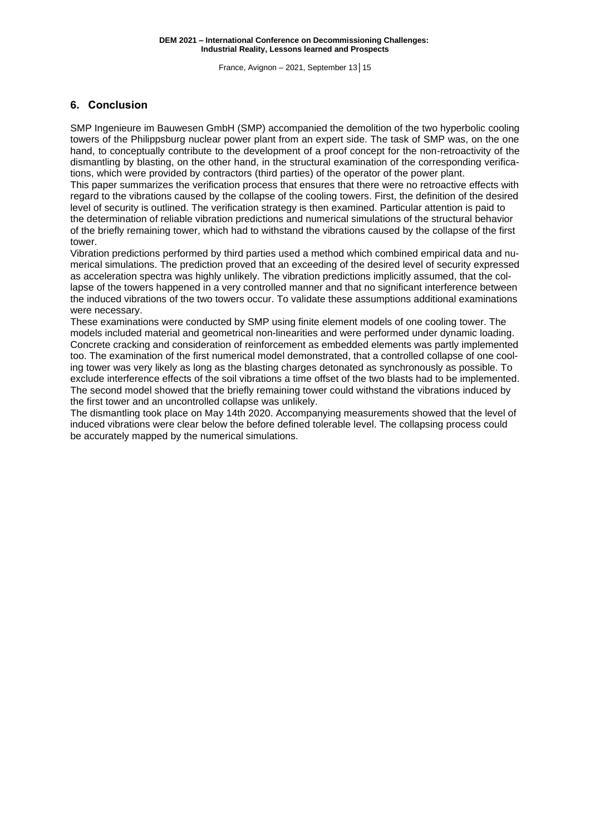# **6. Conclusion**

SMP Ingenieure im Bauwesen GmbH (SMP) accompanied the demolition of the two hyperbolic cooling towers of the Philippsburg nuclear power plant from an expert side. The task of SMP was, on the one hand, to conceptually contribute to the development of a proof concept for the non-retroactivity of the dismantling by blasting, on the other hand, in the structural examination of the corresponding verifications, which were provided by contractors (third parties) of the operator of the power plant.

This paper summarizes the verification process that ensures that there were no retroactive effects with regard to the vibrations caused by the collapse of the cooling towers. First, the definition of the desired level of security is outlined. The verification strategy is then examined. Particular attention is paid to the determination of reliable vibration predictions and numerical simulations of the structural behavior of the briefly remaining tower, which had to withstand the vibrations caused by the collapse of the first tower.

Vibration predictions performed by third parties used a method which combined empirical data and numerical simulations. The prediction proved that an exceeding of the desired level of security expressed as acceleration spectra was highly unlikely. The vibration predictions implicitly assumed, that the collapse of the towers happened in a very controlled manner and that no significant interference between the induced vibrations of the two towers occur. To validate these assumptions additional examinations were necessary.

These examinations were conducted by SMP using finite element models of one cooling tower. The models included material and geometrical non-linearities and were performed under dynamic loading. Concrete cracking and consideration of reinforcement as embedded elements was partly implemented too. The examination of the first numerical model demonstrated, that a controlled collapse of one cooling tower was very likely as long as the blasting charges detonated as synchronously as possible. To exclude interference effects of the soil vibrations a time offset of the two blasts had to be implemented. The second model showed that the briefly remaining tower could withstand the vibrations induced by the first tower and an uncontrolled collapse was unlikely.

The dismantling took place on May 14th 2020. Accompanying measurements showed that the level of induced vibrations were clear below the before defined tolerable level. The collapsing process could be accurately mapped by the numerical simulations.